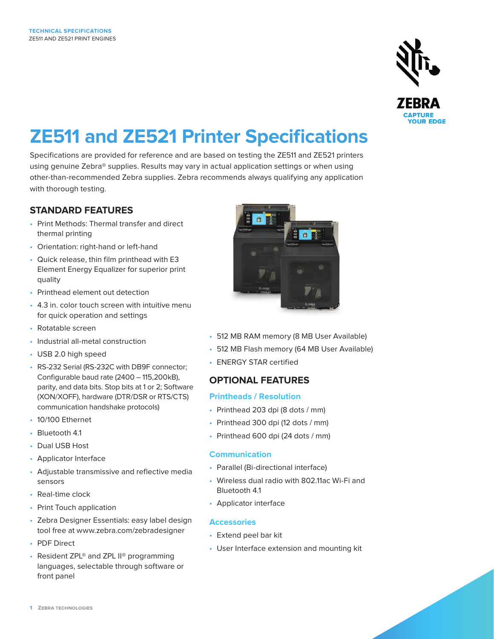

# **ZE511 and ZE521 Printer Specifications**

Specifications are provided for reference and are based on testing the ZE511 and ZE521 printers using genuine Zebra® supplies. Results may vary in actual application settings or when using other-than-recommended Zebra supplies. Zebra recommends always qualifying any application with thorough testing.

# **STANDARD FEATURES**

- Print Methods: Thermal transfer and direct thermal printing
- Orientation: right-hand or left-hand
- Quick release, thin film printhead with E3 Element Energy Equalizer for superior print quality
- Printhead element out detection
- 4.3 in. color touch screen with intuitive menu for quick operation and settings
- Rotatable screen
- Industrial all-metal construction
- USB 2.0 high speed
- RS-232 Serial (RS-232C with DB9F connector; Configurable baud rate (2400 – 115,200kB), parity, and data bits. Stop bits at 1 or 2; Software (XON/XOFF), hardware (DTR/DSR or RTS/CTS) communication handshake protocols)
- 10/100 Ethernet
- Bluetooth 4.1
- Dual USB Host
- Applicator Interface
- Adjustable transmissive and reflective media sensors
- Real-time clock
- Print Touch application
- Zebra Designer Essentials: easy label design tool free at www.zebra.com/zebradesigner
- PDF Direct
- Resident ZPL® and ZPL II® programming languages, selectable through software or front panel



- 512 MB RAM memory (8 MB User Available)
- 512 MB Flash memory (64 MB User Available)
- ENERGY STAR certified

# **OPTIONAL FEATURES**

## **Printheads / Resolution**

- Printhead 203 dpi (8 dots / mm)
- Printhead 300 dpi (12 dots / mm)
- Printhead 600 dpi (24 dots / mm)

## **Communication**

- Parallel (Bi-directional interface)
- Wireless dual radio with 802.11ac Wi-Fi and Bluetooth 4.1
- Applicator interface

## **Accessories**

- Extend peel bar kit
- User Interface extension and mounting kit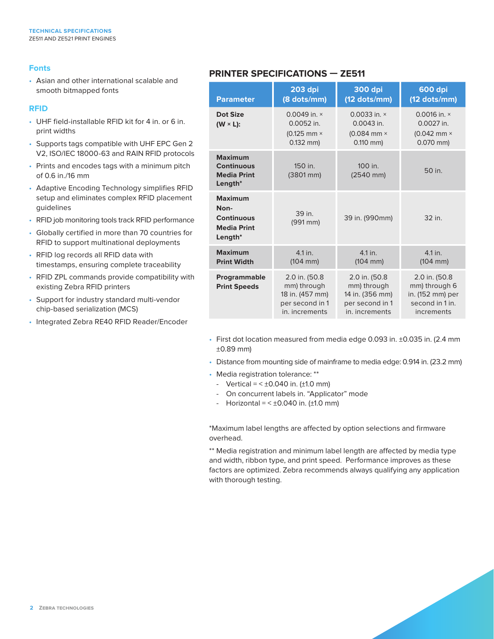#### **Fonts**

• Asian and other international scalable and smooth bitmapped fonts

#### **RFID**

- UHF field-installable RFID kit for 4 in. or 6 in. print widths
- Supports tags compatible with UHF EPC Gen 2 V2, ISO/IEC 18000-63 and RAIN RFID protocols
- Prints and encodes tags with a minimum pitch of 0.6 in./16 mm
- Adaptive Encoding Technology simplifies RFID setup and eliminates complex RFID placement guidelines
- RFID job monitoring tools track RFID performance
- Globally certified in more than 70 countries for RFID to support multinational deployments
- RFID log records all RFID data with timestamps, ensuring complete traceability
- RFID ZPL commands provide compatibility with existing Zebra RFID printers
- Support for industry standard multi-vendor chip-based serialization (MCS)
- Integrated Zebra RE40 RFID Reader/Encoder

# **PRINTER SPECIFICATIONS — ZE511**

| <b>Parameter</b>                                                                | <b>203 dpi</b><br>(8 dots/mm)                                                        | <b>300 dpi</b><br>$(12$ dots/mm)                                                      | <b>600 dpi</b><br>$(12$ dots/mm)                                                     |  |
|---------------------------------------------------------------------------------|--------------------------------------------------------------------------------------|---------------------------------------------------------------------------------------|--------------------------------------------------------------------------------------|--|
| Dot Size<br>$(W \times L)$ :                                                    | 0.0049 in. $\times$<br>0.0052 in.<br>$(0.125$ mm $\times$<br>$0.132$ mm)             | 0.0033 in. $\times$<br>$0.0043$ in.<br>$(0.084$ mm $\times$<br>$0.110$ mm)            | 0.0016 in. $\times$<br>0.0027 in.<br>$(0.042$ mm $\times$<br>$0.070$ mm)             |  |
| <b>Maximum</b><br><b>Continuous</b><br><b>Media Print</b><br>Length $*$         | 150 in.<br>$(3801 \, \text{mm})$                                                     | 100 in.<br>$(2540$ mm)                                                                | 50 in.                                                                               |  |
| <b>Maximum</b><br>Non-<br><b>Continuous</b><br><b>Media Print</b><br>Length $*$ | 39 in<br>39 in. (990mm)<br>$(991 \, \text{mm})$                                      |                                                                                       | 32 in.                                                                               |  |
| <b>Maximum</b><br><b>Print Width</b>                                            | 4.1 in.<br>$(104 \, \text{mm})$                                                      | 4.1 in.<br>$(104 \, \text{mm})$                                                       | 4.1 in.<br>$(104 \, \text{mm})$                                                      |  |
| Programmable<br><b>Print Speeds</b>                                             | 2.0 in. (50.8<br>mm) through<br>18 in. (457 mm)<br>per second in 1<br>in. increments | 2.0 in. (50.8)<br>mm) through<br>14 in. (356 mm)<br>per second in 1<br>in. increments | 2.0 in. (50.8)<br>mm) through 6<br>in. (152 mm) per<br>second in 1 in.<br>increments |  |

- First dot location measured from media edge 0.093 in. ±0.035 in. (2.4 mm ±0.89 mm)
- Distance from mounting side of mainframe to media edge: 0.914 in. (23.2 mm)
- Media registration tolerance: \*\*
	- Vertical =  $< \pm 0.040$  in. ( $\pm 1.0$  mm)
	- On concurrent labels in. "Applicator" mode
	- Horizontal =  $< \pm 0.040$  in. ( $\pm 1.0$  mm)

\*Maximum label lengths are affected by option selections and firmware overhead.

\*\* Media registration and minimum label length are affected by media type and width, ribbon type, and print speed. Performance improves as these factors are optimized. Zebra recommends always qualifying any application with thorough testing.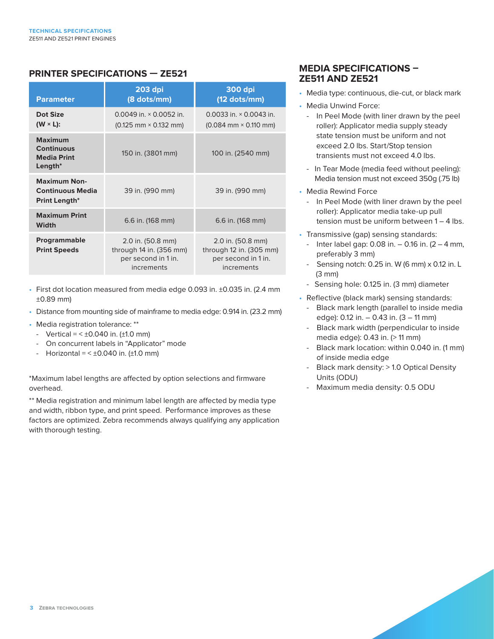# **PRINTER SPECIFICATIONS — ZE521**

| <b>Parameter</b>                                                        | <b>203 dpi</b><br>(8 dots/mm)                                                     | <b>300 dpi</b><br>$(12$ dots/mm)                                                  |
|-------------------------------------------------------------------------|-----------------------------------------------------------------------------------|-----------------------------------------------------------------------------------|
| Dot Size<br>$(W \times L)$ :                                            | 0.0049 in. $\times$ 0.0052 in.<br>$(0.125 \text{ mm} \times 0.132 \text{ mm})$    | 0.0033 in. $\times$ 0.0043 in.<br>$(0.084 \text{ mm} \times 0.110 \text{ mm})$    |
| <b>Maximum</b><br><b>Continuous</b><br><b>Media Print</b><br>Length $*$ | 150 in. (3801 mm)                                                                 | 100 in. (2540 mm)                                                                 |
| <b>Maximum Non-</b><br><b>Continuous Media</b><br>Print Length*         | 39 in. (990 mm)                                                                   | 39 in. (990 mm)                                                                   |
| <b>Maximum Print</b><br>Width                                           | 6.6 in. (168 mm)                                                                  | 6.6 in. (168 mm)                                                                  |
| <b>Programmable</b><br><b>Print Speeds</b>                              | 2.0 in. (50.8 mm)<br>through 14 in. (356 mm)<br>per second in 1 in.<br>increments | 2.0 in. (50.8 mm)<br>through 12 in. (305 mm)<br>per second in 1 in.<br>increments |

- First dot location measured from media edge 0.093 in. ±0.035 in. (2.4 mm ±0.89 mm)
- Distance from mounting side of mainframe to media edge: 0.914 in. (23.2 mm)
- Media registration tolerance: \*\*
- Vertical =  $< \pm 0.040$  in. ( $\pm 1.0$  mm)
- On concurrent labels in "Applicator" mode
- Horizontal =  $< \pm 0.040$  in. ( $\pm 1.0$  mm)

\*Maximum label lengths are affected by option selections and firmware overhead.

\*\* Media registration and minimum label length are affected by media type and width, ribbon type, and print speed. Performance improves as these factors are optimized. Zebra recommends always qualifying any application with thorough testing.

# **MEDIA SPECIFICATIONS – ZE511 AND ZE521**

- Media type: continuous, die-cut, or black mark
- Media Unwind Force:
	- In Peel Mode (with liner drawn by the peel roller): Applicator media supply steady state tension must be uniform and not exceed 2.0 lbs. Start/Stop tension transients must not exceed 4.0 lbs.
	- In Tear Mode (media feed without peeling): Media tension must not exceed 350g (.75 lb)
- Media Rewind Force
	- In Peel Mode (with liner drawn by the peel roller): Applicator media take-up pull tension must be uniform between 1 – 4 lbs.
- Transmissive (gap) sensing standards:
	- Inter label gap:  $0.08$  in.  $-0.16$  in.  $(2 4$  mm, preferably 3 mm)
	- Sensing notch:  $0.25$  in. W (6 mm)  $\times$  0.12 in. L (3 mm)
	- Sensing hole: 0.125 in. (3 mm) diameter
- Reflective (black mark) sensing standards:
	- Black mark length (parallel to inside media edge): 0.12 in. – 0.43 in. (3 – 11 mm)
	- Black mark width (perpendicular to inside media edge): 0.43 in. (> 11 mm)
	- Black mark location: within 0.040 in. (1 mm) of inside media edge
	- Black mark density: > 1.0 Optical Density Units (ODU)
	- Maximum media density: 0.5 ODU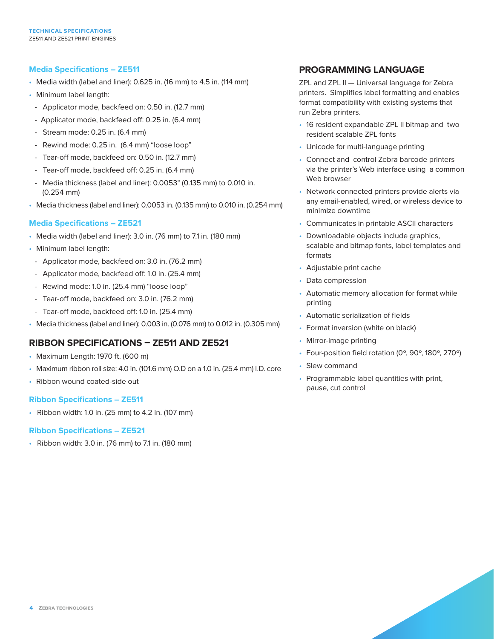#### **Media Specifications – ZE511**

- Media width (label and liner): 0.625 in. (16 mm) to 4.5 in. (114 mm)
- Minimum label length:
- Applicator mode, backfeed on: 0.50 in. (12.7 mm)
- Applicator mode, backfeed off: 0.25 in. (6.4 mm)
- Stream mode: 0.25 in. (6.4 mm)
- Rewind mode: 0.25 in. (6.4 mm) "loose loop"
- Tear-off mode, backfeed on: 0.50 in. (12.7 mm)
- Tear-off mode, backfeed off: 0.25 in. (6.4 mm)
- Media thickness (label and liner): 0.0053" (0.135 mm) to 0.010 in. (0.254 mm)
- Media thickness (label and liner): 0.0053 in. (0.135 mm) to 0.010 in. (0.254 mm)

#### **Media Specifications – ZE521**

- Media width (label and liner): 3.0 in. (76 mm) to 7.1 in. (180 mm)
- Minimum label length:
- Applicator mode, backfeed on: 3.0 in. (76.2 mm)
- Applicator mode, backfeed off: 1.0 in. (25.4 mm)
- Rewind mode: 1.0 in. (25.4 mm) "loose loop"
- Tear-off mode, backfeed on: 3.0 in. (76.2 mm)
- Tear-off mode, backfeed off: 1.0 in. (25.4 mm)
- Media thickness (label and liner): 0.003 in. (0.076 mm) to 0.012 in. (0.305 mm)

## **RIBBON SPECIFICATIONS – ZE511 AND ZE521**

- Maximum Length: 1970 ft. (600 m)
- Maximum ribbon roll size: 4.0 in. (101.6 mm) O.D on a 1.0 in. (25.4 mm) I.D. core
- Ribbon wound coated-side out

#### **Ribbon Specifications – ZE511**

• Ribbon width: 1.0 in. (25 mm) to 4.2 in. (107 mm)

#### **Ribbon Specifications – ZE521**

• Ribbon width: 3.0 in. (76 mm) to 7.1 in. (180 mm)

## **PROGRAMMING LANGUAGE**

ZPL and ZPL II — Universal language for Zebra printers. Simplifies label formatting and enables format compatibility with existing systems that run Zebra printers.

- 16 resident expandable ZPL II bitmap and two resident scalable ZPL fonts
- Unicode for multi-language printing
- Connect and control Zebra barcode printers via the printer's Web interface using a common Web browser
- Network connected printers provide alerts via any email-enabled, wired, or wireless device to minimize downtime
- Communicates in printable ASCII characters
- Downloadable objects include graphics, scalable and bitmap fonts, label templates and formats
- Adjustable print cache
- Data compression
- Automatic memory allocation for format while printing
- Automatic serialization of fields
- Format inversion (white on black)
- Mirror-image printing
- Four-position field rotation (0º, 90º, 180º, 270º)
- Slew command
- Programmable label quantities with print, pause, cut control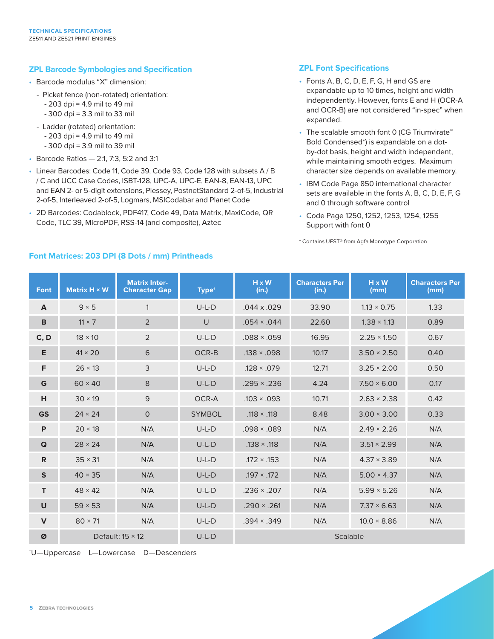#### **ZPL Barcode Symbologies and Specification**

- Barcode modulus "X" dimension:
	- Picket fence (non-rotated) orientation:
		- 203 dpi = 4.9 mil to 49 mil
		- 300 dpi = 3.3 mil to 33 mil
	- Ladder (rotated) orientation:
		- 203 dpi = 4.9 mil to 49 mil
		- 300 dpi = 3.9 mil to 39 mil
- Barcode Ratios 2:1, 7:3, 5:2 and 3:1
- Linear Barcodes: Code 11, Code 39, Code 93, Code 128 with subsets A / B / C and UCC Case Codes, ISBT-128, UPC-A, UPC-E, EAN-8, EAN-13, UPC and EAN 2- or 5-digit extensions, Plessey, PostnetStandard 2-of-5, Industrial 2-of-5, Interleaved 2-of-5, Logmars, MSICodabar and Planet Code
- 2D Barcodes: Codablock, PDF417, Code 49, Data Matrix, MaxiCode, QR Code, TLC 39, MicroPDF, RSS-14 (and composite), Aztec

## **ZPL Font Specifications**

- Fonts A, B, C, D, E, F, G, H and GS are expandable up to 10 times, height and width independently. However, fonts E and H (OCR-A and OCR-B) are not considered "in-spec" when expanded.
- The scalable smooth font 0 (CG Triumvirate™ Bold Condensed\*) is expandable on a dotby-dot basis, height and width independent, while maintaining smooth edges. Maximum character size depends on available memory.
- IBM Code Page 850 international character sets are available in the fonts A, B, C, D, E, F, G and 0 through software control
- Code Page 1250, 1252, 1253, 1254, 1255 Support with font 0

\* Contains UFST® from Agfa Monotype Corporation

| Font         | Matrix $H \times W$     | <b>Matrix Inter-</b><br><b>Character Gap</b> | Type <sup>+</sup> | $H \times W$<br>(in.) | <b>Characters Per</b><br>(in.) | $H \times W$<br>(mm) | <b>Characters Per</b><br>(mm) |  |
|--------------|-------------------------|----------------------------------------------|-------------------|-----------------------|--------------------------------|----------------------|-------------------------------|--|
| A            | $9 \times 5$            | $\mathbf{1}$                                 | $U-L-D$           | $.044 \times .029$    | 33.90                          | $1.13 \times 0.75$   | 1.33                          |  |
| $\, {\bf B}$ | $11 \times 7$           | 2                                            | $\cup$            | $.054 \times .044$    | 22.60                          | $1.38 \times 1.13$   | 0.89                          |  |
| C, D         | $18 \times 10$          | 2                                            | $U-L-D$           | $.088 \times .059$    | 16.95                          | $2.25 \times 1.50$   | 0.67                          |  |
| Е            | $41 \times 20$          | 6                                            | OCR-B             | $.138 \times .098$    | 10.17                          | $3.50 \times 2.50$   | 0.40                          |  |
| F.           | $26 \times 13$          | 3                                            | $U-L-D$           | $.128 \times .079$    | 12.71                          | $3.25 \times 2.00$   | 0.50                          |  |
| G            | $60 \times 40$          | 8                                            | $U-L-D$           | $.295 \times .236$    | 4.24                           | $7.50 \times 6.00$   | 0.17                          |  |
| н            | $30 \times 19$          | 9                                            | OCR-A             | $.103 \times .093$    | 10.71                          | $2.63 \times 2.38$   | 0.42                          |  |
| <b>GS</b>    | $24 \times 24$          | $\mathbf{O}$                                 | <b>SYMBOL</b>     | $.118 \times .118$    | 8.48                           | $3.00 \times 3.00$   | 0.33                          |  |
| P            | $20 \times 18$          | N/A                                          | $U-L-D$           | $.098 \times .089$    | N/A                            | $2.49 \times 2.26$   | N/A                           |  |
| Q            | $28 \times 24$          | N/A                                          | $U-L-D$           | $.138 \times .118$    | N/A                            | $3.51 \times 2.99$   | N/A                           |  |
| $\mathsf{R}$ | $35 \times 31$          | N/A                                          | $U-L-D$           | $.172 \times .153$    | N/A                            | $4.37 \times 3.89$   | N/A                           |  |
| $\mathbf{s}$ | $40 \times 35$          | N/A                                          | $U-L-D$           | $.197 \times .172$    | N/A                            | $5.00 \times 4.37$   | N/A                           |  |
| T.           | $48 \times 42$          | N/A                                          | $U-L-D$           | $.236 \times .207$    | N/A                            | $5.99 \times 5.26$   | N/A                           |  |
| U            | $59 \times 53$          | N/A                                          | $U-L-D$           | $.290 \times .261$    | N/A                            | $7.37 \times 6.63$   | N/A                           |  |
| $\mathsf{V}$ | $80 \times 71$          | N/A                                          | $U-L-D$           | $.394 \times .349$    | N/A                            | $10.0 \times 8.86$   | N/A                           |  |
| Ø            | Default: $15 \times 12$ |                                              | $U-L-D$           | Scalable              |                                |                      |                               |  |

## **Font Matrices: 203 DPI (8 Dots / mm) Printheads**

†U—Uppercase L—Lowercase D—Descenders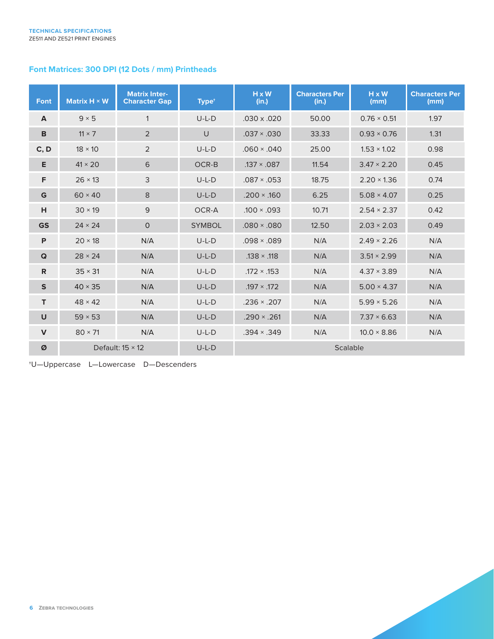# **Font Matrices: 300 DPI (12 Dots / mm) Printheads**

| <b>Font</b>  | Matrix $H \times W$     | <b>Matrix Inter-</b><br><b>Character Gap</b> | Type <sup>+</sup> | $H \times W$<br>(in.) | <b>Characters Per</b><br>(in.) | H x W<br>(mm)      | <b>Characters Per</b><br>(mm) |
|--------------|-------------------------|----------------------------------------------|-------------------|-----------------------|--------------------------------|--------------------|-------------------------------|
| $\mathbf{A}$ | $9 \times 5$            | $\mathbf{1}$                                 | $U-L-D$           | $.030 \times .020$    | 50.00                          | $0.76 \times 0.51$ | 1.97                          |
| B            | $11 \times 7$           | $\overline{2}$                               | $\cup$            | $.037 \times .030$    | 33.33                          | $0.93 \times 0.76$ | 1.31                          |
| C, D         | $18 \times 10$          | 2                                            | $U-L-D$           | $.060 \times .040$    | 25.00                          | $1.53 \times 1.02$ | 0.98                          |
| E            | $41 \times 20$          | 6                                            | OCR-B             | $.137 \times .087$    | 11.54                          | $3.47 \times 2.20$ | 0.45                          |
| F            | $26 \times 13$          | 3                                            | $U-L-D$           | $.087 \times .053$    | 18.75                          | $2.20 \times 1.36$ | 0.74                          |
| G            | $60 \times 40$          | 8                                            | $U-L-D$           | $.200 \times .160$    | 6.25                           | $5.08 \times 4.07$ | 0.25                          |
| н            | $30 \times 19$          | 9                                            | OCR-A             | $.100 \times .093$    | 10.71                          | $2.54 \times 2.37$ | 0.42                          |
| <b>GS</b>    | $24 \times 24$          | $\mathsf{O}$                                 | <b>SYMBOL</b>     | $.080 \times .080$    | 12.50                          | $2.03 \times 2.03$ | 0.49                          |
| P            | $20 \times 18$          | N/A                                          | $U-L-D$           | $.098 \times .089$    | N/A                            | $2.49 \times 2.26$ | N/A                           |
| $\mathbf Q$  | $28 \times 24$          | N/A                                          | $U-L-D$           | $.138 \times .118$    | N/A                            | $3.51 \times 2.99$ | N/A                           |
| $\mathsf{R}$ | $35 \times 31$          | N/A                                          | $U-L-D$           | $.172 \times .153$    | N/A                            | $4.37 \times 3.89$ | N/A                           |
| $\mathbf S$  | $40 \times 35$          | N/A                                          | $U-L-D$           | $.197 \times .172$    | N/A                            | $5.00 \times 4.37$ | N/A                           |
| T.           | $48 \times 42$          | N/A                                          | $U-L-D$           | $.236 \times .207$    | N/A                            | $5.99 \times 5.26$ | N/A                           |
| $\cup$       | $59 \times 53$          | N/A                                          | $U-L-D$           | $.290 \times .261$    | N/A                            | $7.37 \times 6.63$ | N/A                           |
| $\mathbf v$  | $80 \times 71$          | N/A                                          | $U-L-D$           | $.394 \times .349$    | N/A                            | $10.0 \times 8.86$ | N/A                           |
| Ø            | Default: $15 \times 12$ |                                              | $U-L-D$           | Scalable              |                                |                    |                               |

†U—Uppercase L—Lowercase D—Descenders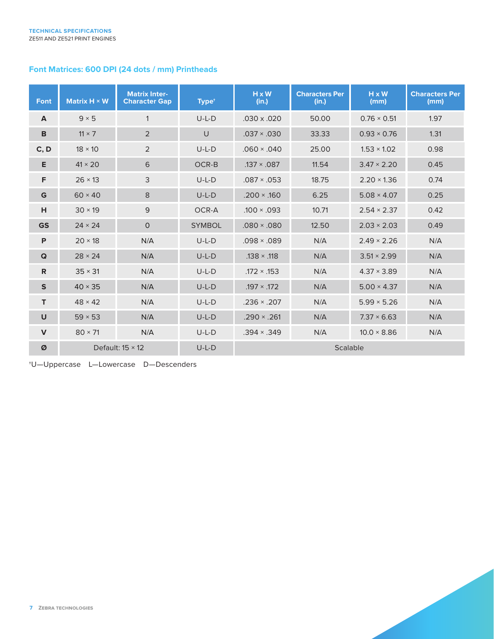# **Font Matrices: 600 DPI (24 dots / mm) Printheads**

| Font         | Matrix $H \times W$     | <b>Matrix Inter-</b><br><b>Character Gap</b> | Type <sup>+</sup> | $H \times W$<br>(in.) | <b>Characters Per</b><br>(in.) | H x W<br>(mm)      | <b>Characters Per</b><br>(mm) |
|--------------|-------------------------|----------------------------------------------|-------------------|-----------------------|--------------------------------|--------------------|-------------------------------|
| A            | $9 \times 5$            | $\mathbf{1}$                                 | $U-L-D$           | $.030 \times .020$    | 50.00                          | $0.76 \times 0.51$ | 1.97                          |
| B            | $11 \times 7$           | $\overline{2}$                               | $\cup$            | $.037 \times .030$    | 33.33                          | $0.93 \times 0.76$ | 1.31                          |
| C, D         | $18 \times 10$          | 2                                            | $U-L-D$           | $.060 \times .040$    | 25.00                          | $1.53 \times 1.02$ | 0.98                          |
| E            | $41 \times 20$          | 6                                            | OCR-B             | $.137 \times .087$    | 11.54                          | $3.47 \times 2.20$ | 0.45                          |
| F            | $26 \times 13$          | 3                                            | $U-L-D$           | $.087 \times .053$    | 18.75                          | $2.20 \times 1.36$ | 0.74                          |
| G            | $60 \times 40$          | 8                                            | $U-L-D$           | $.200 \times .160$    | 6.25                           | $5.08 \times 4.07$ | 0.25                          |
| н            | $30 \times 19$          | 9                                            | OCR-A             | $.100 \times .093$    | 10.71                          | $2.54 \times 2.37$ | 0.42                          |
| <b>GS</b>    | $24 \times 24$          | $\mathsf{O}$                                 | <b>SYMBOL</b>     | $.080 \times .080$    | 12.50                          | $2.03 \times 2.03$ | 0.49                          |
| P            | $20 \times 18$          | N/A                                          | $U-L-D$           | $.098 \times .089$    | N/A                            | $2.49 \times 2.26$ | N/A                           |
| Q            | $28 \times 24$          | N/A                                          | $U-L-D$           | $.138 \times .118$    | N/A                            | $3.51 \times 2.99$ | N/A                           |
| $\mathsf{R}$ | $35 \times 31$          | N/A                                          | $U-L-D$           | $.172 \times .153$    | N/A                            | $4.37 \times 3.89$ | N/A                           |
| $\mathsf{s}$ | $40 \times 35$          | N/A                                          | $U-L-D$           | $.197 \times .172$    | N/A                            | $5.00 \times 4.37$ | N/A                           |
| T.           | $48 \times 42$          | N/A                                          | $U-L-D$           | $.236 \times .207$    | N/A                            | $5.99 \times 5.26$ | N/A                           |
| $\cup$       | $59 \times 53$          | N/A                                          | $U-L-D$           | $.290 \times .261$    | N/A                            | $7.37 \times 6.63$ | N/A                           |
| $\mathbf v$  | $80 \times 71$          | N/A                                          | $U-L-D$           | $.394 \times .349$    | N/A                            | $10.0 \times 8.86$ | N/A                           |
| Ø            | Default: $15 \times 12$ |                                              | $U-L-D$           | Scalable              |                                |                    |                               |

†U—Uppercase L—Lowercase D—Descenders